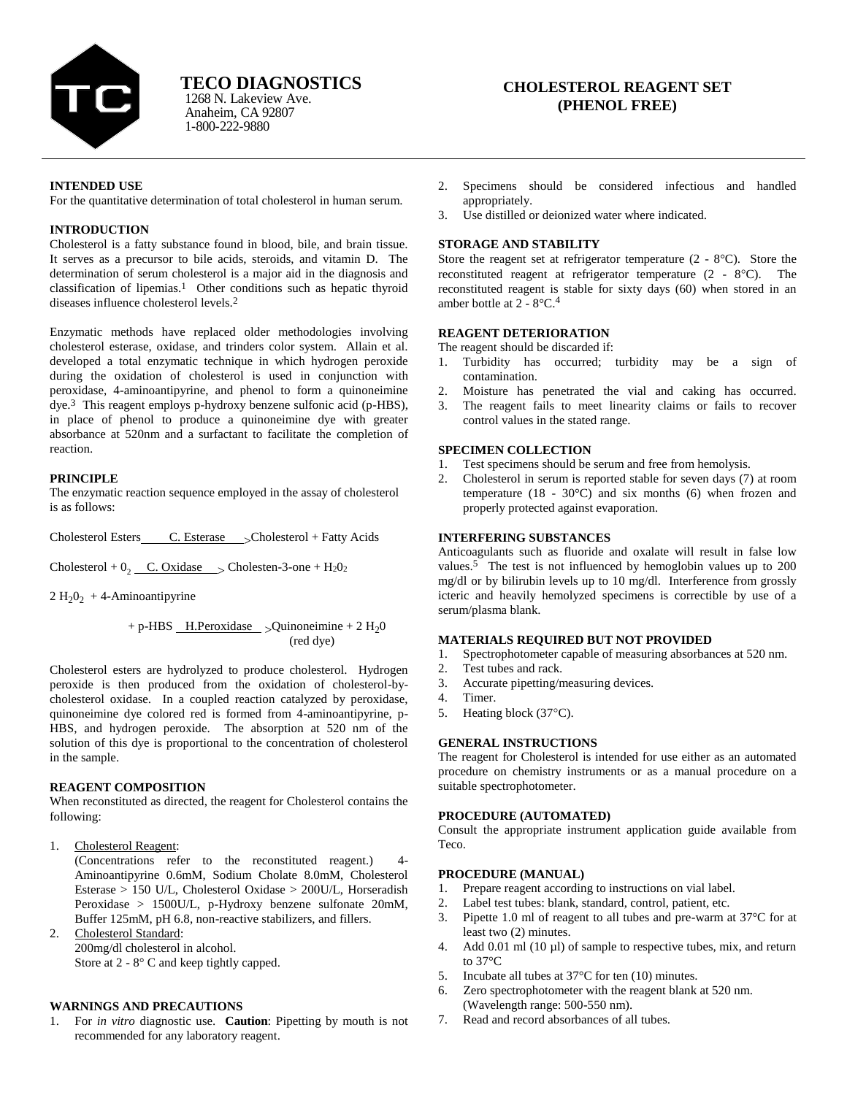

Anaheim, CA 92807 1-800-222-9880 1268 N. Lakeview Ave.

# **CHOLESTEROL REAGENT SET (PHENOL FREE)**

### **INTENDED USE**

For the quantitative determination of total cholesterol in human serum.

#### **INTRODUCTION**

Cholesterol is a fatty substance found in blood, bile, and brain tissue. It serves as a precursor to bile acids, steroids, and vitamin D. The determination of serum cholesterol is a major aid in the diagnosis and classification of lipemias.<sup>1</sup> Other conditions such as hepatic thyroid diseases influence cholesterol levels.2

Enzymatic methods have replaced older methodologies involving cholesterol esterase, oxidase, and trinders color system. Allain et al. developed a total enzymatic technique in which hydrogen peroxide during the oxidation of cholesterol is used in conjunction with peroxidase, 4-aminoantipyrine, and phenol to form a quinoneimine dye.3 This reagent employs p-hydroxy benzene sulfonic acid (p-HBS), in place of phenol to produce a quinoneimine dye with greater absorbance at 520nm and a surfactant to facilitate the completion of reaction.

# **PRINCIPLE**

The enzymatic reaction sequence employed in the assay of cholesterol is as follows:

Cholesterol Esters C. Esterase 
Scholesterol + Fatty Acids

Cholesterol +  $0_2$  C. Oxidase  $\rightarrow$  Cholesten-3-one + H<sub>2</sub>O<sub>2</sub>

 $2 H<sub>2</sub>0<sub>2</sub> + 4$ -Aminoantipyrine

$$
+ p\text{-HBS} \underline{\qquad \text{H.Peroxidase}} > \text{Quinoneimine} + 2 \text{ H}_2\text{O}
$$
\n
$$
\text{(red dye)}
$$

Cholesterol esters are hydrolyzed to produce cholesterol. Hydrogen peroxide is then produced from the oxidation of cholesterol-bycholesterol oxidase. In a coupled reaction catalyzed by peroxidase, quinoneimine dye colored red is formed from 4-aminoantipyrine, p-HBS, and hydrogen peroxide. The absorption at 520 nm of the solution of this dye is proportional to the concentration of cholesterol in the sample.

# **REAGENT COMPOSITION**

When reconstituted as directed, the reagent for Cholesterol contains the following:

1. Cholesterol Reagent:

(Concentrations refer to the reconstituted reagent.) 4- Aminoantipyrine 0.6mM, Sodium Cholate 8.0mM, Cholesterol Esterase > 150 U/L, Cholesterol Oxidase > 200U/L, Horseradish Peroxidase > 1500U/L, p-Hydroxy benzene sulfonate 20mM, Buffer 125mM, pH 6.8, non-reactive stabilizers, and fillers.

2. Cholesterol Standard: 200mg/dl cholesterol in alcohol. Store at 2 - 8° C and keep tightly capped.

# **WARNINGS AND PRECAUTIONS**

1. For *in vitro* diagnostic use. **Caution**: Pipetting by mouth is not recommended for any laboratory reagent.

- 2. Specimens should be considered infectious and handled appropriately.
- 3. Use distilled or deionized water where indicated.

# **STORAGE AND STABILITY**

Store the reagent set at refrigerator temperature (2 - 8°C). Store the reconstituted reagent at refrigerator temperature  $(2 - 8°C)$ . The reconstituted reagent is stable for sixty days (60) when stored in an amber bottle at  $2 - 8$ °C.<sup>4</sup>

# **REAGENT DETERIORATION**

The reagent should be discarded if:

- 1. Turbidity has occurred; turbidity may be a sign of contamination.
- 2. Moisture has penetrated the vial and caking has occurred.
- 3. The reagent fails to meet linearity claims or fails to recover control values in the stated range.

# **SPECIMEN COLLECTION**

- 1. Test specimens should be serum and free from hemolysis.
- 2. Cholesterol in serum is reported stable for seven days (7) at room temperature  $(18 - 30^{\circ}\text{C})$  and six months (6) when frozen and properly protected against evaporation.

#### **INTERFERING SUBSTANCES**

Anticoagulants such as fluoride and oxalate will result in false low values.<sup>5</sup> The test is not influenced by hemoglobin values up to 200 mg/dl or by bilirubin levels up to 10 mg/dl. Interference from grossly icteric and heavily hemolyzed specimens is correctible by use of a serum/plasma blank.

# **MATERIALS REQUIRED BUT NOT PROVIDED**

- 1. Spectrophotometer capable of measuring absorbances at 520 nm.
- 2. Test tubes and rack.
- 3. Accurate pipetting/measuring devices.
- 4. Timer.
- 5. Heating block  $(37^{\circ}C)$ .

# **GENERAL INSTRUCTIONS**

The reagent for Cholesterol is intended for use either as an automated procedure on chemistry instruments or as a manual procedure on a suitable spectrophotometer.

### **PROCEDURE (AUTOMATED)**

Consult the appropriate instrument application guide available from Teco.

# **PROCEDURE (MANUAL)**

- 1. Prepare reagent according to instructions on vial label.
- 2. Label test tubes: blank, standard, control, patient, etc.
- 3. Pipette 1.0 ml of reagent to all tubes and pre-warm at 37°C for at least two (2) minutes.
- 4. Add 0.01 ml (10 µl) of sample to respective tubes, mix, and return to 37°C
- 5. Incubate all tubes at 37°C for ten (10) minutes.
- 6. Zero spectrophotometer with the reagent blank at 520 nm. (Wavelength range: 500-550 nm).
- 7. Read and record absorbances of all tubes.